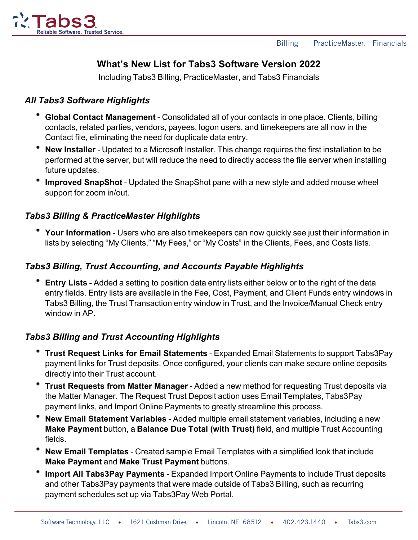

# **What's New List for Tabs3 Software Version 2022**

Including Tabs3 Billing, PracticeMaster, and Tabs3 Financials

### *All Tabs3 Software Highlights*

- **Global Contact Management** Consolidated all of your contacts in one place. Clients, billing contacts, related parties, vendors, payees, logon users, and timekeepers are all now in the Contact file, eliminating the need for duplicate data entry.
- **New Installer** Updated to a Microsoft Installer. This change requires the first installation to be performed at the server, but will reduce the need to directly access the file server when installing future updates.
- **Improved SnapShot** Updated the SnapShot pane with a new style and added mouse wheel support for zoom in/out.

#### *Tabs3 Billing & PracticeMaster Highlights*

**Your Information** - Users who are also timekeepers can now quickly see just their information in lists by selecting "My Clients," "My Fees," or "My Costs" in the Clients, Fees, and Costs lists.

#### *Tabs3 Billing, Trust Accounting, and Accounts Payable Highlights*

**Entry Lists** - Added a setting to position data entry lists either below or to the right of the data entry fields. Entry lists are available in the Fee, Cost, Payment, and Client Funds entry windows in Tabs3 Billing, the Trust Transaction entry window in Trust, and the Invoice/Manual Check entry window in AP

#### *Tabs3 Billing and Trust Accounting Highlights*

- **Trust Request Links for Email Statements** Expanded Email Statements to support Tabs3Pay payment links for Trust deposits. Once configured, your clients can make secure online deposits directly into their Trust account.
- **Trust Requests from Matter Manager** Added a new method for requesting Trust deposits via the Matter Manager. The Request Trust Deposit action uses Email Templates, Tabs3Pay payment links, and Import Online Payments to greatly streamline this process.
- **New Email Statement Variables** Added multiple email statement variables, including a new **Make Payment** button, a **Balance Due Total (with Trust)** field, and multiple Trust Accounting fields.
- **New Email Templates** Created sample Email Templates with a simplified look that include **Make Payment** and **Make Trust Payment** buttons.
- **Import All Tabs3Pay Payments** Expanded Import Online Payments to include Trust deposits and other Tabs3Pay payments that were made outside of Tabs3 Billing, such as recurring payment schedules set up via Tabs3Pay Web Portal.